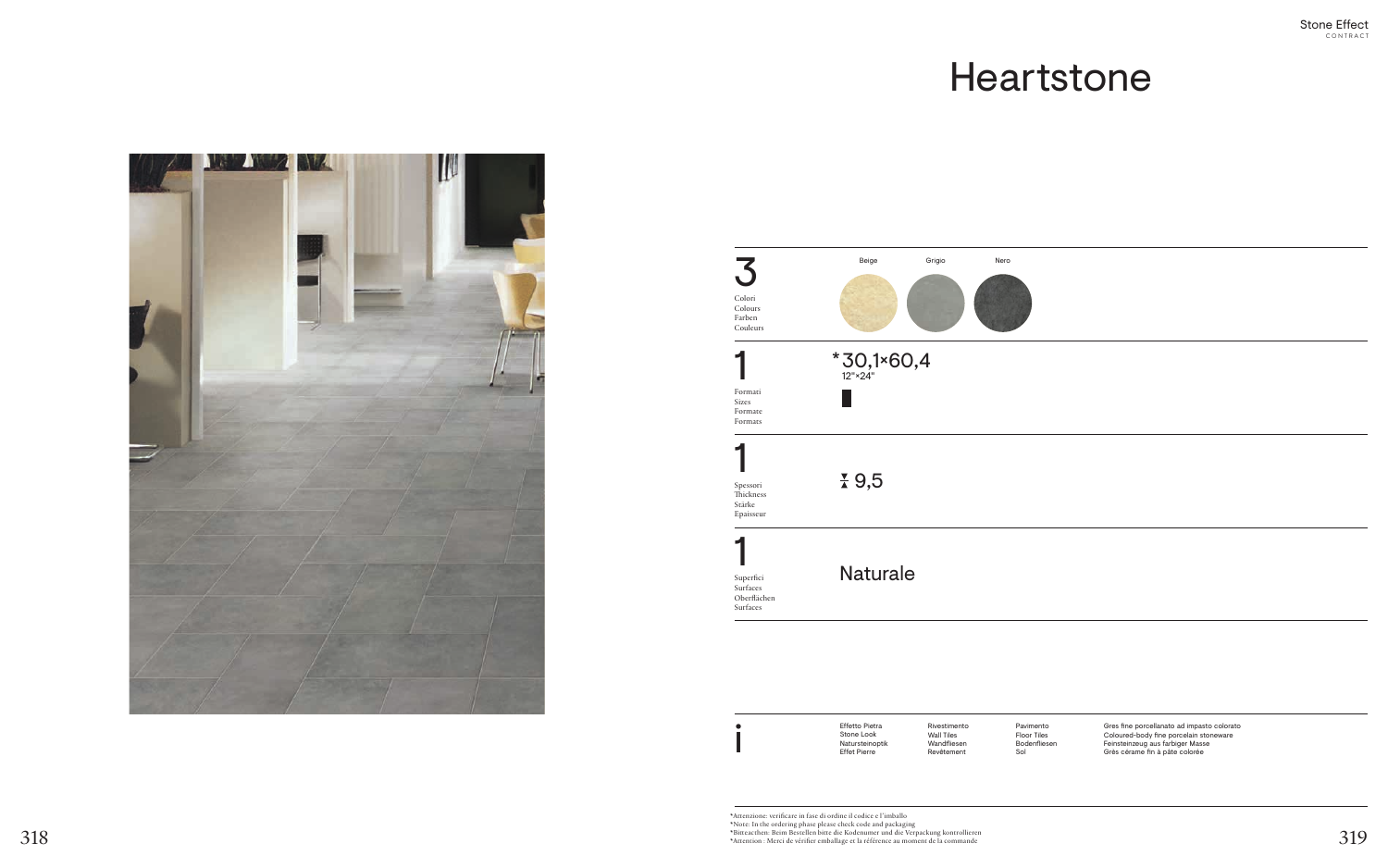# Heartstone

Gres fine porcellanato ad impasto colorato Coloured-body fine porcelain stoneware Feinsteinzeug aus farbiger Masse Grès cérame fin à pâte colorée

Rivestimento Wall Tiles Wandfliesen Revêtement

Effetto Pietra Stone Look Natursteinoptik Effet Pierre

\*Attenzione: verificare in fase di ordine il codice e l'imballo \*Note: In the ordering phase please check code and packaging \*Bitteacthen: Beim Bestellen bitte die Kodenumer und die Verpackung kontrollieren  $318$ <br>\*Attention : Merci de vérifier emballage et la référence au moment de la commande<br>\*Attention : Merci de vérifier emballage et la référence au moment de la commande



Pavimento Floor Tiles Bodenfliesen Sol



|                                                  | Beige                       |
|--------------------------------------------------|-----------------------------|
| Colori<br>Colours<br>Farben<br>Couleurs          |                             |
|                                                  | $*$ 30,1 $*$ 60,<br>12"×24" |
| Formati<br><b>Sizes</b><br>Formate<br>Formats    |                             |
| Spessori<br>Thickness<br>Stärke                  | $\frac{1}{4}$ 9,5           |
| Epaisseur                                        |                             |
| Superfici<br>Surfaces<br>Oberflächen<br>Surfaces | <b>Naturale</b>             |

i